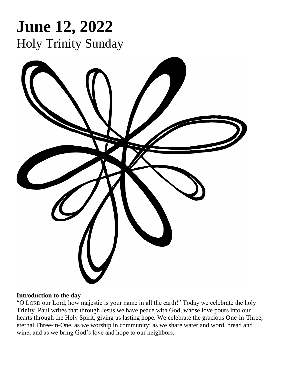

### **Introduction to the day**

"O LORD our Lord, how majestic is your name in all the earth!" Today we celebrate the holy Trinity. Paul writes that through Jesus we have peace with God, whose love pours into our hearts through the Holy Spirit, giving us lasting hope. We celebrate the gracious One-in-Three, eternal Three-in-One, as we worship in community; as we share water and word, bread and wine; and as we bring God's love and hope to our neighbors.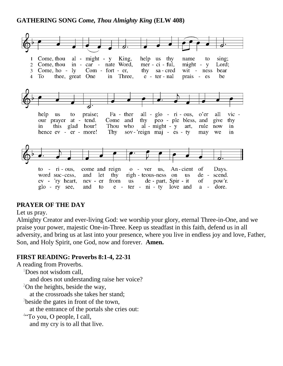### **GATHERING SONG** *Come, Thou Almighty King* **(ELW 408)**



# **PRAYER OF THE DAY**

#### Let us pray.

Almighty Creator and ever-living God: we worship your glory, eternal Three-in-One, and we praise your power, majestic One-in-Three. Keep us steadfast in this faith, defend us in all adversity, and bring us at last into your presence, where you live in endless joy and love, Father, Son, and Holy Spirit, one God, now and forever. **Amen.**

### **FIRST READING: Proverbs 8:1-4, 22-31**

A reading from Proverbs.

<sup>1</sup>Does not wisdom call,

and does not understanding raise her voice?

 $2$ On the heights, beside the way,

at the crossroads she takes her stand;

<sup>3</sup>beside the gates in front of the town,

at the entrance of the portals she cries out:

<sup>4"</sup>To you, O people, I call,

and my cry is to all that live.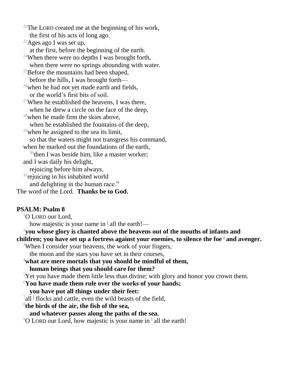<sup>22</sup>The LORD created me at the beginning of his work, the first of his acts of long ago. <sup>23</sup>Ages ago I was set up, at the first, before the beginning of the earth. <sup>24</sup>When there were no depths I was brought forth, when there were no springs abounding with water. <sup>25</sup>Before the mountains had been shaped, before the hills, I was brought forth—  $^{26}$ when he had not yet made earth and fields, or the world's first bits of soil. <sup>27</sup>When he established the heavens, I was there, when he drew a circle on the face of the deep,  $28$  when he made firm the skies above. when he established the fountains of the deep, <sup>29</sup>when he assigned to the sea its limit, so that the waters might not transgress his command, when he marked out the foundations of the earth.  $30$ then I was beside him, like a master worker; and I was daily his delight, rejoicing before him always,  $31$ rejoicing in his inhabited world and delighting in the human race." The word of the Lord. **Thanks be to God.**

### **PSALM: Psalm 8**

 $1$ O LORD our Lord.

how majestic is your name in **<sup>|</sup>** all the earth!—

<sup>2</sup>**you whose glory is chanted above the heavens out of the mouths of infants and** 

**children; you have set up a fortress against your enemies, to silence the foe <sup>|</sup> and avenger.**

<sup>3</sup>When I consider your heavens, the work of your fingers,

the moon and the stars you have set in their courses,

<sup>4</sup>**what are mere mortals that you should be mindful of them,**

#### **human beings that you should care for them?**

<sup>5</sup>Yet you have made them little less than divine; with glory and honor you crown them.

<sup>6</sup>**You have made them rule over the works of your hands;**

- **you have put all things under their feet:**
- <sup>7</sup>all <sup>|</sup> flocks and cattle, even the wild beasts of the field,

8 **the birds of the air, the fish of the sea,**

- **and whatever passes along the paths of the sea.**
- <sup>9</sup>O LORD our Lord, how majestic is your name in **<sup>|</sup>** all the earth!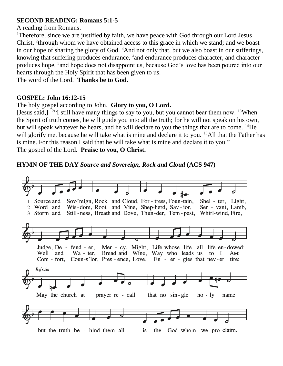### **SECOND READING: Romans 5:1-5**

A reading from Romans.

<sup>1</sup>Therefore, since we are justified by faith, we have peace with God through our Lord Jesus Christ,  $2$ <sup>t</sup>hrough whom we have obtained access to this grace in which we stand; and we boast in our hope of sharing the glory of God.  $3$ And not only that, but we also boast in our sufferings, knowing that suffering produces endurance, <sup>4</sup>and endurance produces character, and character produces hope, <sup>5</sup> and hope does not disappoint us, because God's love has been poured into our hearts through the Holy Spirit that has been given to us.

The word of the Lord. **Thanks be to God.**

### **GOSPEL: John 16:12-15**

# The holy gospel according to John. **Glory to you, O Lord.**

[Jesus said,]  $12\text{°}$  still have many things to say to you, but you cannot bear them now.  $13\text{W}$ hen the Spirit of truth comes, he will guide you into all the truth; for he will not speak on his own, but will speak whatever he hears, and he will declare to you the things that are to come. <sup>14</sup>He will glorify me, because he will take what is mine and declare it to you. <sup>15</sup>All that the Father has is mine. For this reason I said that he will take what is mine and declare it to you." The gospel of the Lord. **Praise to you, O Christ.**

# **HYMN OF THE DAY** *Source and Sovereign, Rock and Cloud* **(ACS 947)**

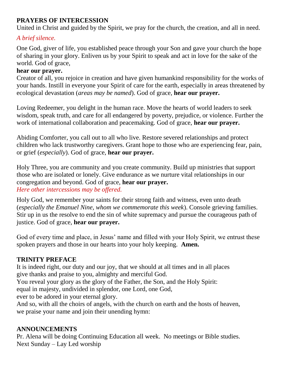### **PRAYERS OF INTERCESSION**

United in Christ and guided by the Spirit, we pray for the church, the creation, and all in need.

### *A brief silence.*

One God, giver of life, you established peace through your Son and gave your church the hope of sharing in your glory. Enliven us by your Spirit to speak and act in love for the sake of the world. God of grace,

### **hear our prayer.**

Creator of all, you rejoice in creation and have given humankind responsibility for the works of your hands. Instill in everyone your Spirit of care for the earth, especially in areas threatened by ecological devastation (*areas may be named*). God of grace, **hear our prayer.**

Loving Redeemer, you delight in the human race. Move the hearts of world leaders to seek wisdom, speak truth, and care for all endangered by poverty, prejudice, or violence. Further the work of international collaboration and peacemaking. God of grace, **hear our prayer.**

Abiding Comforter, you call out to all who live. Restore severed relationships and protect children who lack trustworthy caregivers. Grant hope to those who are experiencing fear, pain, or grief (*especially*). God of grace, **hear our prayer.**

Holy Three, you are community and you create community. Build up ministries that support those who are isolated or lonely. Give endurance as we nurture vital relationships in our congregation and beyond. God of grace, **hear our prayer.** *Here other intercessions may be offered.*

Holy God, we remember your saints for their strong faith and witness, even unto death (*especially the Emanuel Nine, whom we commemorate this week*). Console grieving families. Stir up in us the resolve to end the sin of white supremacy and pursue the courageous path of justice. God of grace, **hear our prayer.**

God of every time and place, in Jesus' name and filled with your Holy Spirit, we entrust these spoken prayers and those in our hearts into your holy keeping. **Amen.**

### **TRINITY PREFACE**

It is indeed right, our duty and our joy, that we should at all times and in all places give thanks and praise to you, almighty and merciful God.

You reveal your glory as the glory of the Father, the Son, and the Holy Spirit:

equal in majesty, undivided in splendor, one Lord, one God,

ever to be adored in your eternal glory.

And so, with all the choirs of angels, with the church on earth and the hosts of heaven, we praise your name and join their unending hymn:

### **ANNOUNCEMENTS**

Pr. Alena will be doing Continuing Education all week. No meetings or Bible studies. Next Sunday – Lay Led worship